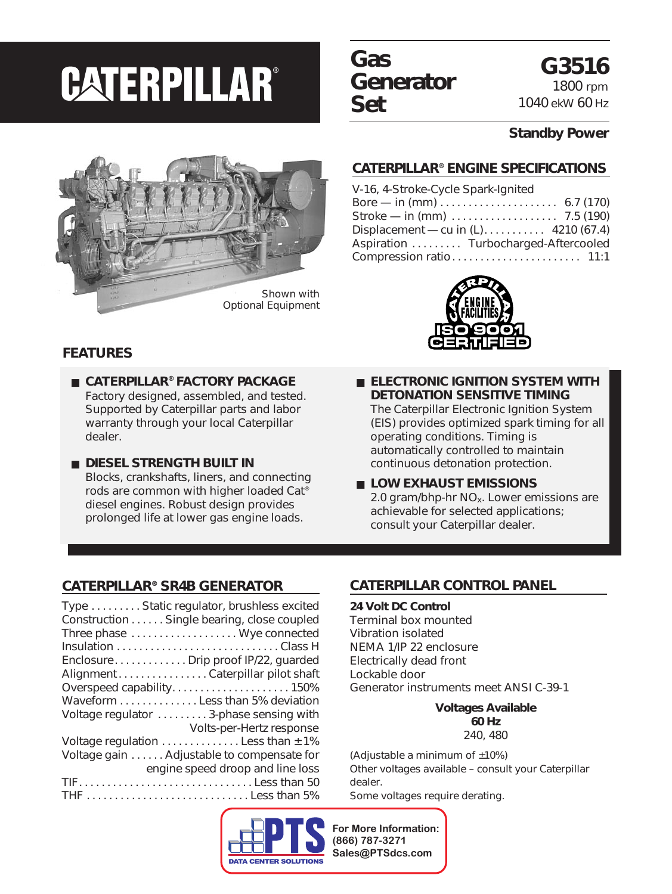### **Gas Generator Set**

**G3516** 1800 rpm 1040 ekW 60 Hz

#### **Standby Power**

#### **CATERPILLAR® ENGINE SPECIFICATIONS**

| V-16, 4-Stroke-Cycle Spark-Ignited                             |  |
|----------------------------------------------------------------|--|
| Bore — in (mm) $\dots \dots \dots \dots \dots \dots$ 6.7 (170) |  |
|                                                                |  |
|                                                                |  |
| Aspiration  Turbocharged-Aftercooled                           |  |
|                                                                |  |





#### **FEATURES**

- **CATERPILLAR® FACTORY PACKAGE** Factory designed, assembled, and tested. Supported by Caterpillar parts and labor warranty through your local Caterpillar dealer.
- **DIESEL STRENGTH BUILT IN** Blocks, crankshafts, liners, and connecting rods are common with higher loaded Cat® diesel engines. Robust design provides prolonged life at lower gas engine loads.
- **ELECTRONIC IGNITION SYSTEM WITH DETONATION SENSITIVE TIMING** The Caterpillar Electronic Ignition System (EIS) provides optimized spark timing for all operating conditions. Timing is automatically controlled to maintain continuous detonation protection.
- LOW EXHAUST EMISSIONS 2.0 gram/bhp-hr  $NO<sub>x</sub>$ . Lower emissions are achievable for selected applications; consult your Caterpillar dealer.

#### **CATERPILLAR® SR4B GENERATOR**

| Type  Static regulator, brushless excited  |
|--------------------------------------------|
| Construction Single bearing, close coupled |
| Three phase  Wye connected                 |
|                                            |
| EnclosureDrip proof IP/22, guarded         |
| Alignment Caterpillar pilot shaft          |
|                                            |
| Waveform Less than 5% deviation            |
| Voltage regulator  3-phase sensing with    |
| Volts-per-Hertz response                   |
| Voltage regulation  Less than ± 1%         |
| Voltage gain Adjustable to compensate for  |
| engine speed droop and line loss           |
| TIFLess than 50                            |
| THE Less than 5%                           |
|                                            |

### **CATERPILLAR CONTROL PANEL**

**24 Volt DC Control** Terminal box mounted Vibration isolated NEMA 1/IP 22 enclosure Electrically dead front Lockable door Generator instruments meet ANSI C-39-1

> **Voltages Available 60 Hz** 240, 480

(Adjustable a minimum of  $±10\%$ ) Other voltages available – consult your Caterpillar dealer. Some voltages require derating.

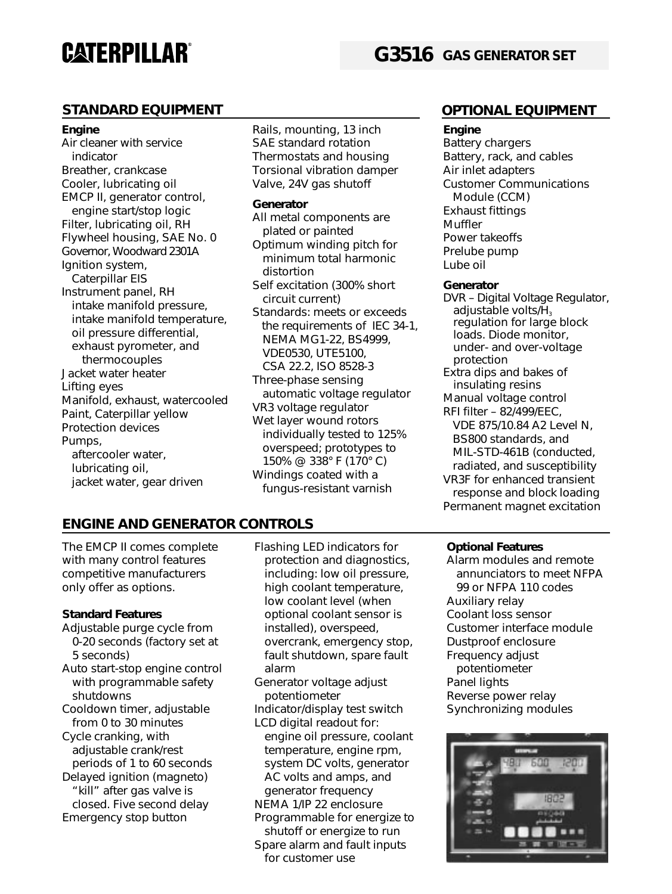#### **STANDARD EQUIPMENT OPTIONAL EQUIPMENT**

#### **Engine**

Air cleaner with service indicator Breather, crankcase Cooler, lubricating oil EMCP II, generator control, engine start/stop logic Filter, lubricating oil, RH Flywheel housing, SAE No. 0 Governor, Woodward 2301A Ignition system, Caterpillar EIS Instrument panel, RH intake manifold pressure, intake manifold temperature, oil pressure differential, exhaust pyrometer, and thermocouples Jacket water heater Lifting eyes Manifold, exhaust, watercooled Paint, Caterpillar yellow Protection devices Pumps, aftercooler water, lubricating oil, jacket water, gear driven

Rails, mounting, 13 inch SAE standard rotation Thermostats and housing Torsional vibration damper Valve, 24V gas shutoff

#### **Generator**

All metal components are plated or painted Optimum winding pitch for minimum total harmonic distortion Self excitation (300% short circuit current) Standards: meets or exceeds the requirements of IEC 34-1, NEMA MG1-22, BS4999, VDE0530, UTE5100, CSA 22.2, ISO 8528-3 Three-phase sensing automatic voltage regulator VR3 voltage regulator Wet layer wound rotors individually tested to 125% overspeed; prototypes to 150% @ 338° F (170° C) Windings coated with a fungus-resistant varnish

#### **Engine**

Battery chargers Battery, rack, and cables Air inlet adapters Customer Communications Module (CCM) Exhaust fittings Muffler Power takeoffs Prelube pump Lube oil

#### **Generator**

DVR – Digital Voltage Regulator, adjustable volts/ $\tilde{H}_3$ regulation for large block loads. Diode monitor, under- and over-voltage protection Extra dips and bakes of insulating resins Manual voltage control RFI filter – 82/499/EEC, VDE 875/10.84 A2 Level N, BS800 standards, and MIL-STD-461B (conducted, radiated, and susceptibility VR3F for enhanced transient response and block loading Permanent magnet excitation

### **ENGINE AND GENERATOR CONTROLS**

The EMCP II comes complete with many control features competitive manufacturers only offer as options.

#### **Standard Features**

- Adjustable purge cycle from 0-20 seconds (factory set at 5 seconds)
- Auto start-stop engine control with programmable safety shutdowns
- Cooldown timer, adjustable from 0 to 30 minutes
- Cycle cranking, with adjustable crank/rest periods of 1 to 60 seconds Delayed ignition (magneto) "kill" after gas valve is closed. Five second delay Emergency stop button
- Flashing LED indicators for protection and diagnostics, including: low oil pressure, high coolant temperature, low coolant level (when optional coolant sensor is installed), overspeed, overcrank, emergency stop, fault shutdown, spare fault alarm
- Generator voltage adjust potentiometer
- Indicator/display test switch LCD digital readout for:
- engine oil pressure, coolant temperature, engine rpm, system DC volts, generator AC volts and amps, and generator frequency
- NEMA 1/IP 22 enclosure
- Programmable for energize to shutoff or energize to run Spare alarm and fault inputs

#### for customer use

#### **Optional Features**

Alarm modules and remote annunciators to meet NFPA 99 or NFPA 110 codes Auxiliary relay Coolant loss sensor Customer interface module Dustproof enclosure Frequency adjust potentiometer Panel lights Reverse power relay Synchronizing modules

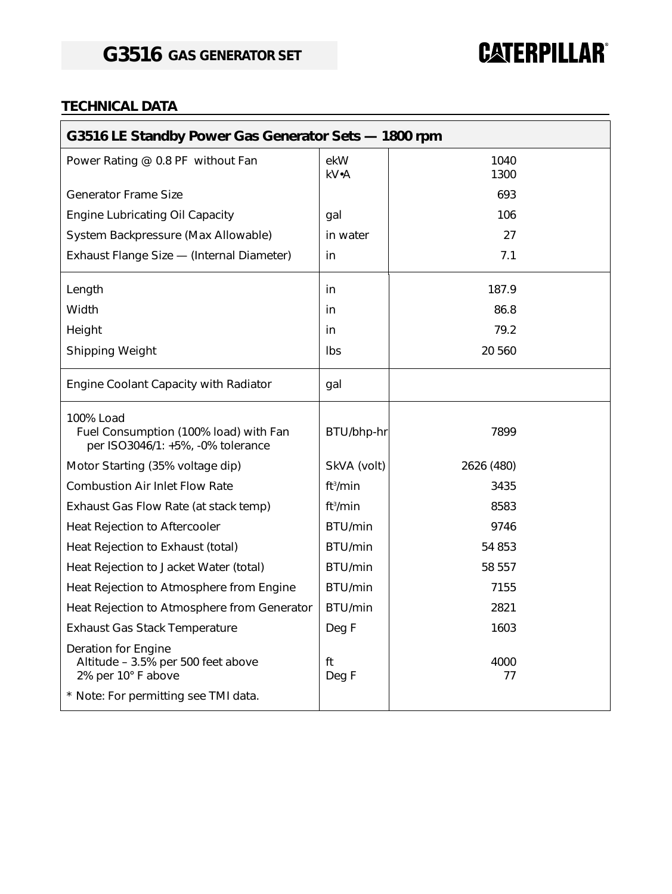#### **TECHNICAL DATA**

| G3516 LE Standby Power Gas Generator Sets - 1800 rpm                                                                    |                      |              |  |
|-------------------------------------------------------------------------------------------------------------------------|----------------------|--------------|--|
| Power Rating @ 0.8 PF without Fan                                                                                       | ekW<br>kV•A          | 1040<br>1300 |  |
| <b>Generator Frame Size</b>                                                                                             |                      | 693          |  |
| <b>Engine Lubricating Oil Capacity</b>                                                                                  | qal                  | 106          |  |
| System Backpressure (Max Allowable)                                                                                     | in water             | 27           |  |
| Exhaust Flange Size - (Internal Diameter)                                                                               | in                   | 7.1          |  |
| Length                                                                                                                  | in                   | 187.9        |  |
| Width                                                                                                                   | in                   | 86.8         |  |
| Height                                                                                                                  | in                   | 79.2         |  |
| <b>Shipping Weight</b>                                                                                                  | Ibs                  | 20 560       |  |
| Engine Coolant Capacity with Radiator                                                                                   | gal                  |              |  |
| 100% Load<br>Fuel Consumption (100% load) with Fan<br>per ISO3046/1: +5%, -0% tolerance                                 | BTU/bhp-hr           | 7899         |  |
| Motor Starting (35% voltage dip)                                                                                        | SkVA (volt)          | 2626 (480)   |  |
| <b>Combustion Air Inlet Flow Rate</b>                                                                                   | ft <sup>3</sup> /min | 3435         |  |
| Exhaust Gas Flow Rate (at stack temp)                                                                                   | ft <sup>3</sup> /min | 8583         |  |
| Heat Rejection to Aftercooler                                                                                           | BTU/min              | 9746         |  |
| Heat Rejection to Exhaust (total)                                                                                       | BTU/min              | 54 853       |  |
| Heat Rejection to Jacket Water (total)                                                                                  | BTU/min              | 58 557       |  |
| Heat Rejection to Atmosphere from Engine                                                                                | BTU/min              | 7155         |  |
| Heat Rejection to Atmosphere from Generator                                                                             | BTU/min              | 2821         |  |
| <b>Exhaust Gas Stack Temperature</b>                                                                                    | Deg F                | 1603         |  |
| Deration for Engine<br>Altitude - 3.5% per 500 feet above<br>2% per 10° F above<br>* Note: For permitting see TMI data. | ft<br>Deg F          | 4000<br>77   |  |